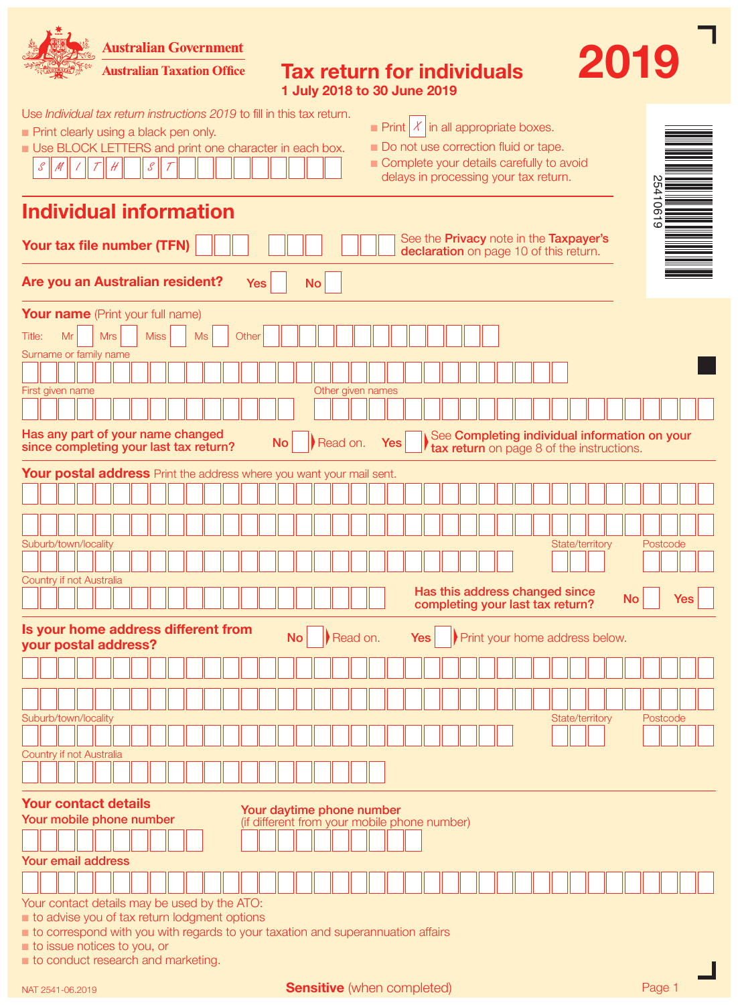**Australian Government** 



**Australian Taxation Office** 

|                             | <b>Tax return for individuals</b> |  |
|-----------------------------|-----------------------------------|--|
| 1 July 2018 to 30 June 2019 |                                   |  |

|                                                                                                                                            |                                                         |              | Use <i>Individual tax return instructions 2019</i> to fill in this tax return.                                                  |            |   |  |                                                                                                                                                                                                                                                                                                                                                                                                                                                           |  |           |  |       |            |           |           |           |                                                                           |  |     |            |  |  |  |  |                                                                                  |  |                                           |                                               |     |  |
|--------------------------------------------------------------------------------------------------------------------------------------------|---------------------------------------------------------|--------------|---------------------------------------------------------------------------------------------------------------------------------|------------|---|--|-----------------------------------------------------------------------------------------------------------------------------------------------------------------------------------------------------------------------------------------------------------------------------------------------------------------------------------------------------------------------------------------------------------------------------------------------------------|--|-----------|--|-------|------------|-----------|-----------|-----------|---------------------------------------------------------------------------|--|-----|------------|--|--|--|--|----------------------------------------------------------------------------------|--|-------------------------------------------|-----------------------------------------------|-----|--|
| $\chi$<br>in all appropriate boxes.<br>$\blacksquare$ Print<br>Print clearly using a black pen only.                                       |                                                         |              |                                                                                                                                 |            |   |  |                                                                                                                                                                                                                                                                                                                                                                                                                                                           |  |           |  |       |            |           |           |           |                                                                           |  |     |            |  |  |  |  |                                                                                  |  |                                           |                                               |     |  |
| Do not use correction fluid or tape.<br>Use BLOCK LETTERS and print one character in each box.<br>Complete your details carefully to avoid |                                                         |              |                                                                                                                                 |            |   |  |                                                                                                                                                                                                                                                                                                                                                                                                                                                           |  |           |  |       |            |           |           |           |                                                                           |  |     |            |  |  |  |  |                                                                                  |  |                                           |                                               |     |  |
|                                                                                                                                            | $\mathcal{S}% _{G}=\mathcal{S}_{G}^{G}(\mathbb{R}^{d})$ | $\mathcal M$ |                                                                                                                                 |            | H |  | $\mathcal{S}% _{G}=\mathcal{S}_{G}=\mathcal{S}_{G}=\mathcal{S}_{G}=\mathcal{S}_{G}=\mathcal{S}_{G}=\mathcal{S}_{G}=\mathcal{S}_{G}=\mathcal{S}_{G}=\mathcal{S}_{G}=\mathcal{S}_{G}=\mathcal{S}_{G}=\mathcal{S}_{G}=\mathcal{S}_{G}=\mathcal{S}_{G}=\mathcal{S}_{G}=\mathcal{S}_{G}=\mathcal{S}_{G}=\mathcal{S}_{G}=\mathcal{S}_{G}=\mathcal{S}_{G}=\mathcal{S}_{G}=\mathcal{S}_{G}=\mathcal{S}_{G}=\mathcal{S}_{G}=\mathcal{S}_{G}=\mathcal{S}_{G}=\math$ |  |           |  |       |            |           |           |           |                                                                           |  |     |            |  |  |  |  | delays in processing your tax return.                                            |  |                                           |                                               |     |  |
|                                                                                                                                            |                                                         |              | <b>Individual information</b>                                                                                                   |            |   |  |                                                                                                                                                                                                                                                                                                                                                                                                                                                           |  |           |  |       |            |           |           |           |                                                                           |  |     |            |  |  |  |  |                                                                                  |  |                                           | $\overline{6}$                                |     |  |
|                                                                                                                                            |                                                         |              |                                                                                                                                 |            |   |  |                                                                                                                                                                                                                                                                                                                                                                                                                                                           |  |           |  |       |            |           |           |           |                                                                           |  |     |            |  |  |  |  |                                                                                  |  |                                           |                                               |     |  |
|                                                                                                                                            |                                                         |              | Your tax file number (TFN)                                                                                                      |            |   |  |                                                                                                                                                                                                                                                                                                                                                                                                                                                           |  |           |  |       |            |           |           |           |                                                                           |  |     |            |  |  |  |  | See the Privacy note in the Taxpayer's<br>declaration on page 10 of this return. |  |                                           |                                               |     |  |
|                                                                                                                                            |                                                         |              | Are you an Australian resident?                                                                                                 |            |   |  |                                                                                                                                                                                                                                                                                                                                                                                                                                                           |  |           |  |       | <b>Yes</b> |           |           | <b>No</b> |                                                                           |  |     |            |  |  |  |  |                                                                                  |  |                                           |                                               |     |  |
|                                                                                                                                            |                                                         |              | <b>Your name</b> (Print your full name)                                                                                         |            |   |  |                                                                                                                                                                                                                                                                                                                                                                                                                                                           |  |           |  |       |            |           |           |           |                                                                           |  |     |            |  |  |  |  |                                                                                  |  |                                           |                                               |     |  |
| Title:                                                                                                                                     |                                                         | Mr           |                                                                                                                                 | <b>Mrs</b> |   |  | <b>Miss</b>                                                                                                                                                                                                                                                                                                                                                                                                                                               |  | <b>Ms</b> |  | Other |            |           |           |           |                                                                           |  |     |            |  |  |  |  |                                                                                  |  |                                           |                                               |     |  |
|                                                                                                                                            |                                                         |              | Surname or family name                                                                                                          |            |   |  |                                                                                                                                                                                                                                                                                                                                                                                                                                                           |  |           |  |       |            |           |           |           |                                                                           |  |     |            |  |  |  |  |                                                                                  |  |                                           |                                               |     |  |
|                                                                                                                                            |                                                         |              | First given name                                                                                                                |            |   |  |                                                                                                                                                                                                                                                                                                                                                                                                                                                           |  |           |  |       |            |           |           |           | Other given names                                                         |  |     |            |  |  |  |  |                                                                                  |  |                                           |                                               |     |  |
|                                                                                                                                            |                                                         |              |                                                                                                                                 |            |   |  |                                                                                                                                                                                                                                                                                                                                                                                                                                                           |  |           |  |       |            |           |           |           |                                                                           |  |     |            |  |  |  |  |                                                                                  |  |                                           |                                               |     |  |
|                                                                                                                                            |                                                         |              | Has any part of your name changed<br>since completing your last tax return?                                                     |            |   |  |                                                                                                                                                                                                                                                                                                                                                                                                                                                           |  |           |  |       |            | <b>No</b> |           |           | Read on.                                                                  |  | Yes |            |  |  |  |  |                                                                                  |  | tax return on page 8 of the instructions. | See Completing individual information on your |     |  |
|                                                                                                                                            |                                                         |              | Your postal address Print the address where you want your mail sent.                                                            |            |   |  |                                                                                                                                                                                                                                                                                                                                                                                                                                                           |  |           |  |       |            |           |           |           |                                                                           |  |     |            |  |  |  |  |                                                                                  |  |                                           |                                               |     |  |
|                                                                                                                                            |                                                         |              |                                                                                                                                 |            |   |  |                                                                                                                                                                                                                                                                                                                                                                                                                                                           |  |           |  |       |            |           |           |           |                                                                           |  |     |            |  |  |  |  |                                                                                  |  |                                           |                                               |     |  |
|                                                                                                                                            |                                                         |              |                                                                                                                                 |            |   |  |                                                                                                                                                                                                                                                                                                                                                                                                                                                           |  |           |  |       |            |           |           |           |                                                                           |  |     |            |  |  |  |  |                                                                                  |  |                                           |                                               |     |  |
|                                                                                                                                            |                                                         |              | Suburb/town/locality                                                                                                            |            |   |  |                                                                                                                                                                                                                                                                                                                                                                                                                                                           |  |           |  |       |            |           |           |           |                                                                           |  |     |            |  |  |  |  | State/territory                                                                  |  |                                           | Postcode                                      |     |  |
|                                                                                                                                            |                                                         |              |                                                                                                                                 |            |   |  |                                                                                                                                                                                                                                                                                                                                                                                                                                                           |  |           |  |       |            |           |           |           |                                                                           |  |     |            |  |  |  |  |                                                                                  |  |                                           |                                               |     |  |
|                                                                                                                                            |                                                         |              | Country if not Australia                                                                                                        |            |   |  |                                                                                                                                                                                                                                                                                                                                                                                                                                                           |  |           |  |       |            |           |           |           |                                                                           |  |     |            |  |  |  |  | Has this address changed since                                                   |  |                                           |                                               |     |  |
|                                                                                                                                            |                                                         |              |                                                                                                                                 |            |   |  |                                                                                                                                                                                                                                                                                                                                                                                                                                                           |  |           |  |       |            |           |           |           |                                                                           |  |     |            |  |  |  |  | completing your last tax return?                                                 |  | <b>No</b>                                 |                                               | Yes |  |
|                                                                                                                                            |                                                         |              | Is your home address different from<br>your postal address?                                                                     |            |   |  |                                                                                                                                                                                                                                                                                                                                                                                                                                                           |  |           |  |       |            |           | <b>No</b> |           | Read on.                                                                  |  |     | <b>Yes</b> |  |  |  |  | Print your home address below.                                                   |  |                                           |                                               |     |  |
|                                                                                                                                            |                                                         |              |                                                                                                                                 |            |   |  |                                                                                                                                                                                                                                                                                                                                                                                                                                                           |  |           |  |       |            |           |           |           |                                                                           |  |     |            |  |  |  |  |                                                                                  |  |                                           |                                               |     |  |
|                                                                                                                                            |                                                         |              |                                                                                                                                 |            |   |  |                                                                                                                                                                                                                                                                                                                                                                                                                                                           |  |           |  |       |            |           |           |           |                                                                           |  |     |            |  |  |  |  |                                                                                  |  |                                           |                                               |     |  |
|                                                                                                                                            |                                                         |              | Suburb/town/locality                                                                                                            |            |   |  |                                                                                                                                                                                                                                                                                                                                                                                                                                                           |  |           |  |       |            |           |           |           |                                                                           |  |     |            |  |  |  |  | State/territory                                                                  |  |                                           | Postcode                                      |     |  |
|                                                                                                                                            |                                                         |              |                                                                                                                                 |            |   |  |                                                                                                                                                                                                                                                                                                                                                                                                                                                           |  |           |  |       |            |           |           |           |                                                                           |  |     |            |  |  |  |  |                                                                                  |  |                                           |                                               |     |  |
|                                                                                                                                            |                                                         |              | Country if not Australia                                                                                                        |            |   |  |                                                                                                                                                                                                                                                                                                                                                                                                                                                           |  |           |  |       |            |           |           |           |                                                                           |  |     |            |  |  |  |  |                                                                                  |  |                                           |                                               |     |  |
|                                                                                                                                            |                                                         |              | <b>Your contact details</b>                                                                                                     |            |   |  |                                                                                                                                                                                                                                                                                                                                                                                                                                                           |  |           |  |       |            |           |           |           |                                                                           |  |     |            |  |  |  |  |                                                                                  |  |                                           |                                               |     |  |
|                                                                                                                                            |                                                         |              | Your mobile phone number                                                                                                        |            |   |  |                                                                                                                                                                                                                                                                                                                                                                                                                                                           |  |           |  |       |            |           |           |           | Your daytime phone number<br>(if different from your mobile phone number) |  |     |            |  |  |  |  |                                                                                  |  |                                           |                                               |     |  |
|                                                                                                                                            |                                                         |              |                                                                                                                                 |            |   |  |                                                                                                                                                                                                                                                                                                                                                                                                                                                           |  |           |  |       |            |           |           |           |                                                                           |  |     |            |  |  |  |  |                                                                                  |  |                                           |                                               |     |  |
|                                                                                                                                            |                                                         |              | <b>Your email address</b>                                                                                                       |            |   |  |                                                                                                                                                                                                                                                                                                                                                                                                                                                           |  |           |  |       |            |           |           |           |                                                                           |  |     |            |  |  |  |  |                                                                                  |  |                                           |                                               |     |  |
|                                                                                                                                            |                                                         |              |                                                                                                                                 |            |   |  |                                                                                                                                                                                                                                                                                                                                                                                                                                                           |  |           |  |       |            |           |           |           |                                                                           |  |     |            |  |  |  |  |                                                                                  |  |                                           |                                               |     |  |
|                                                                                                                                            |                                                         |              | Your contact details may be used by the ATO:                                                                                    |            |   |  |                                                                                                                                                                                                                                                                                                                                                                                                                                                           |  |           |  |       |            |           |           |           |                                                                           |  |     |            |  |  |  |  |                                                                                  |  |                                           |                                               |     |  |
|                                                                                                                                            |                                                         |              | to advise you of tax return lodgment options<br>to correspond with you with regards to your taxation and superannuation affairs |            |   |  |                                                                                                                                                                                                                                                                                                                                                                                                                                                           |  |           |  |       |            |           |           |           |                                                                           |  |     |            |  |  |  |  |                                                                                  |  |                                           |                                               |     |  |
|                                                                                                                                            |                                                         |              | to issue notices to you, or                                                                                                     |            |   |  |                                                                                                                                                                                                                                                                                                                                                                                                                                                           |  |           |  |       |            |           |           |           |                                                                           |  |     |            |  |  |  |  |                                                                                  |  |                                           |                                               |     |  |
|                                                                                                                                            |                                                         |              | to conduct research and marketing.                                                                                              |            |   |  |                                                                                                                                                                                                                                                                                                                                                                                                                                                           |  |           |  |       |            |           |           |           |                                                                           |  |     |            |  |  |  |  |                                                                                  |  |                                           |                                               |     |  |

Sensitive (when completed) example the page 1

 $2019$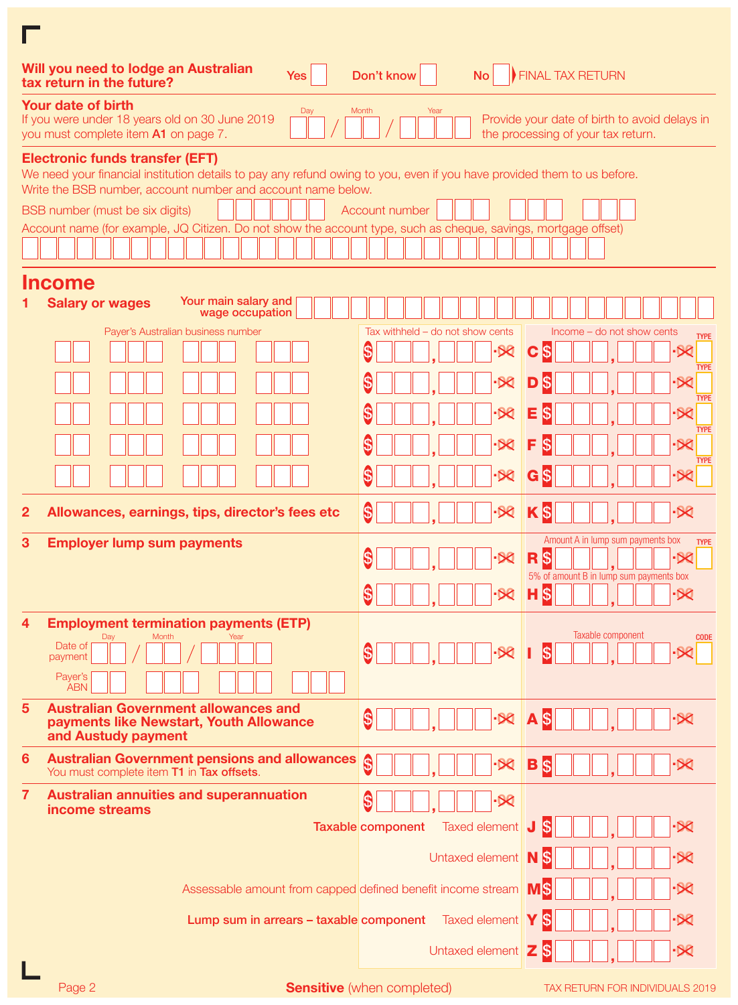| Will you need to lodge an Australian<br>Yes<br>tax return in the future?                                                                                                                                                                                                                                                                                                               | Don't know<br><b>No</b>            | <b>FINAL TAX RETURN</b>                                                             |
|----------------------------------------------------------------------------------------------------------------------------------------------------------------------------------------------------------------------------------------------------------------------------------------------------------------------------------------------------------------------------------------|------------------------------------|-------------------------------------------------------------------------------------|
| Your date of birth<br>Day<br>If you were under 18 years old on 30 June 2019<br>you must complete item A1 on page 7.                                                                                                                                                                                                                                                                    | Month<br>Year                      | Provide your date of birth to avoid delays in<br>the processing of your tax return. |
| <b>Electronic funds transfer (EFT)</b><br>We need your financial institution details to pay any refund owing to you, even if you have provided them to us before.<br>Write the BSB number, account number and account name below.<br>BSB number (must be six digits)<br>Account name (for example, JQ Citizen. Do not show the account type, such as cheque, savings, mortgage offset) | Account number                     |                                                                                     |
|                                                                                                                                                                                                                                                                                                                                                                                        |                                    |                                                                                     |
| <b>Income</b>                                                                                                                                                                                                                                                                                                                                                                          |                                    |                                                                                     |
| Your main salary and<br><b>Salary or wages</b><br>wage occupation                                                                                                                                                                                                                                                                                                                      |                                    |                                                                                     |
| Payer's Australian business number                                                                                                                                                                                                                                                                                                                                                     | Tax withheld $-$ do not show cents | Income – do not show cents<br><b>TYPE</b>                                           |
|                                                                                                                                                                                                                                                                                                                                                                                        | \$                                 | \$<br>C<br><b>TYPE</b>                                                              |
|                                                                                                                                                                                                                                                                                                                                                                                        | \$                                 | <b>TYPE</b>                                                                         |
|                                                                                                                                                                                                                                                                                                                                                                                        | \$                                 | K<br>Е                                                                              |
|                                                                                                                                                                                                                                                                                                                                                                                        | S                                  | <b>TYPE</b><br>S<br>$\bm{\times}$                                                   |
|                                                                                                                                                                                                                                                                                                                                                                                        | \$<br>⋉                            | <b>TYPE</b><br>\$<br>✕<br>G                                                         |
| $\overline{2}$<br>Allowances, earnings, tips, director's fees etc                                                                                                                                                                                                                                                                                                                      | S<br>$\bowtie$                     | \$                                                                                  |
| <b>Employer lump sum payments</b><br>3                                                                                                                                                                                                                                                                                                                                                 | \$<br>-DQ                          | Amount A in lump sum payments box<br><b>TYPE</b><br>R<br>\$                         |
|                                                                                                                                                                                                                                                                                                                                                                                        |                                    | 5% of amount B in lump sum payments box                                             |
|                                                                                                                                                                                                                                                                                                                                                                                        | \$<br>$\bowtie$                    | 5<br>۰X                                                                             |
| <b>Employment termination payments (ETP)</b><br>4<br>Month<br>Day<br>Date of                                                                                                                                                                                                                                                                                                           |                                    | Taxable component<br><b>CODE</b>                                                    |
| payment                                                                                                                                                                                                                                                                                                                                                                                | S<br>'Ж                            | $ \mathcal{S} $                                                                     |
| Payer's<br><b>ABN</b>                                                                                                                                                                                                                                                                                                                                                                  |                                    |                                                                                     |
| $5\phantom{1}$<br><b>Australian Government allowances and</b><br>payments like Newstart, Youth Allowance<br>and Austudy payment                                                                                                                                                                                                                                                        | \$<br>$-80$                        | A <sub>s</sub>                                                                      |
| 6<br><b>Australian Government pensions and allowances</b><br>You must complete item T1 in Tax offsets.                                                                                                                                                                                                                                                                                 | \$<br>$\mathcal{R}$                | B<br>5<br>-50                                                                       |
| $\overline{7}$<br><b>Australian annuities and superannuation</b><br>income streams                                                                                                                                                                                                                                                                                                     | \$<br>$-80$                        |                                                                                     |
|                                                                                                                                                                                                                                                                                                                                                                                        | Taxed element<br>Taxable component | \$<br>J                                                                             |
|                                                                                                                                                                                                                                                                                                                                                                                        | Untaxed element   N                | S                                                                                   |
| Assessable amount from capped defined benefit income stream                                                                                                                                                                                                                                                                                                                            |                                    | MS.                                                                                 |
| Lump sum in arrears - taxable component Taxed element                                                                                                                                                                                                                                                                                                                                  |                                    | \$                                                                                  |
|                                                                                                                                                                                                                                                                                                                                                                                        | Untaxed element Z                  | l\$                                                                                 |
|                                                                                                                                                                                                                                                                                                                                                                                        |                                    |                                                                                     |

Page 2 Sensitive (when completed) TAX RETURN FOR INDIVIDUALS 2019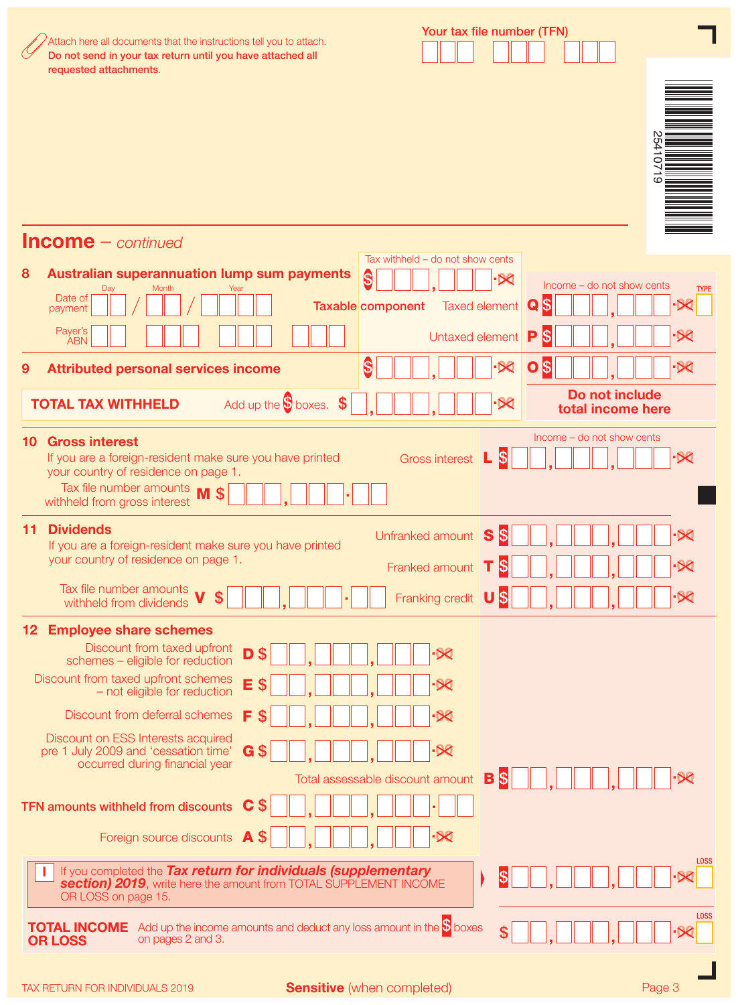|     | Attach here all documents that the instructions tell you to attach.<br>Do not send in your tax return until you have attached all                                                                                                                                                                         | Your tax file number (TFN)                      |                       |                                     |                                    |
|-----|-----------------------------------------------------------------------------------------------------------------------------------------------------------------------------------------------------------------------------------------------------------------------------------------------------------|-------------------------------------------------|-----------------------|-------------------------------------|------------------------------------|
|     | requested attachments.                                                                                                                                                                                                                                                                                    |                                                 |                       |                                     | 254<br>$\overline{101}$<br>$\circ$ |
|     | $Income - continued$                                                                                                                                                                                                                                                                                      | Tax withheld $-$ do not show cents              |                       |                                     |                                    |
| 8   | <b>Australian superannuation lump sum payments</b>                                                                                                                                                                                                                                                        | \$                                              | $-58$                 | Income – do not show cents          |                                    |
|     | Month<br>Day<br>Year<br>Date of<br>payment                                                                                                                                                                                                                                                                | Taxable component                               | <b>Taxed element</b>  | \$<br>$\mathbf Q$                   | <b>TYPE</b>                        |
|     | Payer's<br><b>ABN</b>                                                                                                                                                                                                                                                                                     | Untaxed element                                 |                       | \$<br>P                             |                                    |
| 9   | <b>Attributed personal services income</b>                                                                                                                                                                                                                                                                | \$                                              |                       | \$<br>O                             | ۰X                                 |
|     | Add up the $\bullet$ boxes. $\bullet$<br><b>TOTAL TAX WITHHELD</b>                                                                                                                                                                                                                                        |                                                 | $\infty$              | Do not include<br>total income here |                                    |
| 10. | <b>Gross interest</b><br>If you are a foreign-resident make sure you have printed<br>your country of residence on page 1.<br>Tax file number amounts<br>withheld from gross interest                                                                                                                      | <b>Gross interest</b>                           | l\$<br>L              | Income – do not show cents          |                                    |
| 11. | <b>Dividends</b><br>If you are a foreign-resident make sure you have printed<br>your country of residence on page 1.                                                                                                                                                                                      | Unfranked amount<br>Franked amount T            | 5<br>S<br>1\$         |                                     |                                    |
|     | Tax file number amounts $\boldsymbol{V}$ \$<br>withheld from dividends                                                                                                                                                                                                                                    | Franking credit US                              |                       |                                     |                                    |
|     | 12 Employee share schemes<br>Discount from taxed upfront<br>D<br>$\boldsymbol{\mathsf{S}}$<br>schemes - eligible for reduction<br>Discount from taxed upfront schemes<br>E<br>S<br>- not eligible for reduction<br>F<br>Discount from deferral schemes<br>S<br>Discount on ESS Interests acquired         |                                                 |                       |                                     |                                    |
|     | $G$ \$<br>pre 1 July 2009 and 'cessation time'<br>occurred during financial year<br>\$<br>C<br>TFN amounts withheld from discounts<br>\$<br>Foreign source discounts A                                                                                                                                    | $-80$<br>Total assessable discount amount<br>∙∝ | $\boldsymbol{s}$<br>B |                                     |                                    |
|     | If you completed the Tax return for individuals (supplementary<br>section) 2019, write here the amount from TOTAL SUPPLEMENT INCOME<br>OR LOSS on page 15.<br>Add up the income amounts and deduct any loss amount in the $\mathbb S$ boxes<br><b>TOTAL INCOME</b><br>on pages 2 and 3.<br><b>OR LOSS</b> |                                                 | \$                    |                                     | <b>LOSS</b><br><b>LOSS</b>         |

H  $\blacksquare$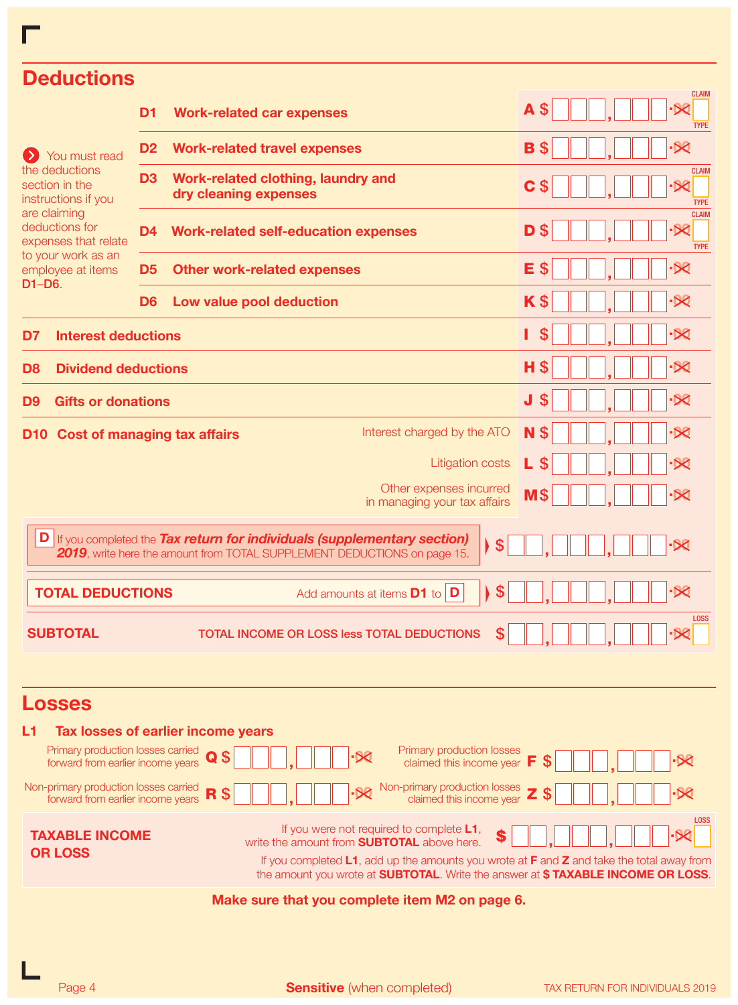| <b>Deductions</b>                                                          |                                                                                                                                                                                                                                           | <b>CLAIM</b>                            |
|----------------------------------------------------------------------------|-------------------------------------------------------------------------------------------------------------------------------------------------------------------------------------------------------------------------------------------|-----------------------------------------|
|                                                                            | D <sub>1</sub><br><b>Work-related car expenses</b>                                                                                                                                                                                        | <b>A</b> \$<br><b>TYPE</b>              |
| You must read                                                              | <b>Work-related travel expenses</b><br>D <sub>2</sub>                                                                                                                                                                                     | -52<br>B                                |
| the deductions<br>section in the<br>instructions if you                    | D <sub>3</sub><br>Work-related clothing, laundry and<br>dry cleaning expenses                                                                                                                                                             | <b>CLAIM</b><br>C<br><b>TYPE</b>        |
| are claiming<br>deductions for<br>expenses that relate                     | <b>Work-related self-education expenses</b><br>D4                                                                                                                                                                                         | <b>CLAIM</b><br>-52<br>D<br><b>TYPE</b> |
| to your work as an<br>employee at items<br>$D1-D6.$                        | <b>Other work-related expenses</b><br>D5                                                                                                                                                                                                  | $\cdot$ $\infty$<br>Е                   |
|                                                                            | Low value pool deduction<br>D <sub>6</sub>                                                                                                                                                                                                | $\cdot$ $\infty$<br>K \$                |
| <b>Interest deductions</b><br>D7                                           |                                                                                                                                                                                                                                           | $-50$                                   |
| <b>Dividend deductions</b><br>D8                                           |                                                                                                                                                                                                                                           | <u>-52</u><br>н                         |
| <b>Gifts or donations</b><br>D9                                            |                                                                                                                                                                                                                                           | $\cdot \Join$<br>J<br>S                 |
| D10 -                                                                      | Interest charged by the ATO<br><b>Cost of managing tax affairs</b>                                                                                                                                                                        | $-80$<br>N \$                           |
|                                                                            | <b>Litigation costs</b>                                                                                                                                                                                                                   | ۰Œ                                      |
|                                                                            | Other expenses incurred<br>in managing your tax affairs                                                                                                                                                                                   | $M\$<br>•Ж                              |
|                                                                            |                                                                                                                                                                                                                                           |                                         |
|                                                                            | D If you completed the Tax return for individuals (supplementary section)<br>\$<br>2019, write here the amount from TOTAL SUPPLEMENT DEDUCTIONS on page 15.                                                                               | $-80$                                   |
| <b>TOTAL DEDUCTIONS</b>                                                    | \$<br>Add amounts at items $\mathbf{D1}$ to $\mathbf{D}$                                                                                                                                                                                  | $-88$                                   |
| <b>SUBTOTAL</b>                                                            | \$<br>TOTAL INCOME OR LOSS less TOTAL DEDUCTIONS                                                                                                                                                                                          | <b>LOSS</b>                             |
|                                                                            |                                                                                                                                                                                                                                           |                                         |
| <b>Losses</b>                                                              |                                                                                                                                                                                                                                           |                                         |
| L1                                                                         | Tax losses of earlier income years                                                                                                                                                                                                        |                                         |
| Primary production losses carried<br>forward from earlier income years     | Primary production losses<br>\$<br><u>-52</u><br>Q<br>claimed this income year $\mathsf F$                                                                                                                                                | S                                       |
| Non-primary production losses carried<br>forward from earlier income years | Non-primary production losses <b>Z</b><br>$\overline{\infty}$<br>\$<br>R<br>claimed this income year                                                                                                                                      | \$                                      |
| <b>TAXABLE INCOME</b>                                                      | If you were not required to complete L1,<br>\$                                                                                                                                                                                            | <b>LOSS</b>                             |
| <b>OR LOSS</b>                                                             | write the amount from <b>SUBTOTAL</b> above here.<br>If you completed L1, add up the amounts you wrote at F and Z and take the total away from<br>the amount you wrote at <b>SUBTOTAL</b> . Write the answer at \$TAXABLE INCOME OR LOSS. |                                         |
|                                                                            | Make sure that you complete item M2 on page 6.                                                                                                                                                                                            |                                         |

г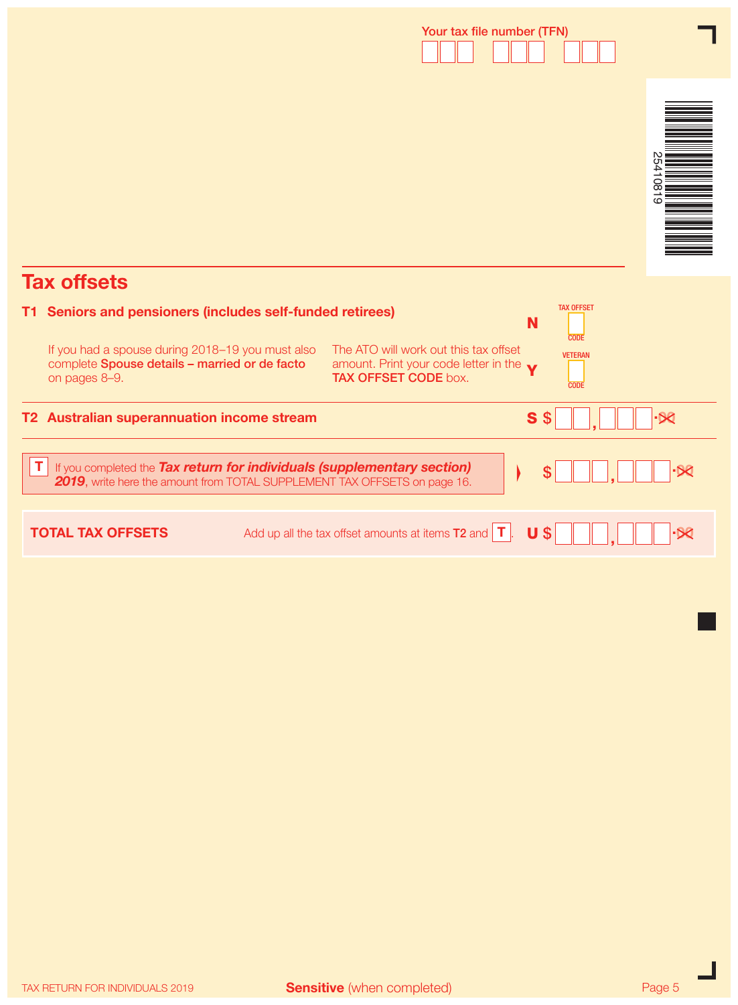# Your tax file number (TFN)



# Tax offsets

|     | <b>Tax offsets</b>                                                                                                                                   |                                                                                                                         |                                       |  |
|-----|------------------------------------------------------------------------------------------------------------------------------------------------------|-------------------------------------------------------------------------------------------------------------------------|---------------------------------------|--|
| T1. | Seniors and pensioners (includes self-funded retirees)                                                                                               |                                                                                                                         | <b>TAX OFFSET</b><br>N<br><b>CODE</b> |  |
|     | If you had a spouse during 2018-19 you must also<br>complete Spouse details - married or de facto<br>on pages 8-9.                                   | The ATO will work out this tax offset<br>amount. Print your code letter in the $\bullet$<br><b>TAX OFFSET CODE box.</b> | <b>VETERAN</b><br><b>CODE</b>         |  |
|     | T2 Australian superannuation income stream                                                                                                           |                                                                                                                         | S <sub>s</sub>                        |  |
|     | If you completed the Tax return for individuals (supplementary section)<br>2019, write here the amount from TOTAL SUPPLEMENT TAX OFFSETS on page 16. |                                                                                                                         |                                       |  |
|     | <b>TOTAL TAX OFFSETS</b>                                                                                                                             | Add up all the tax offset amounts at items $T2$ and $T$                                                                 | U<br>S                                |  |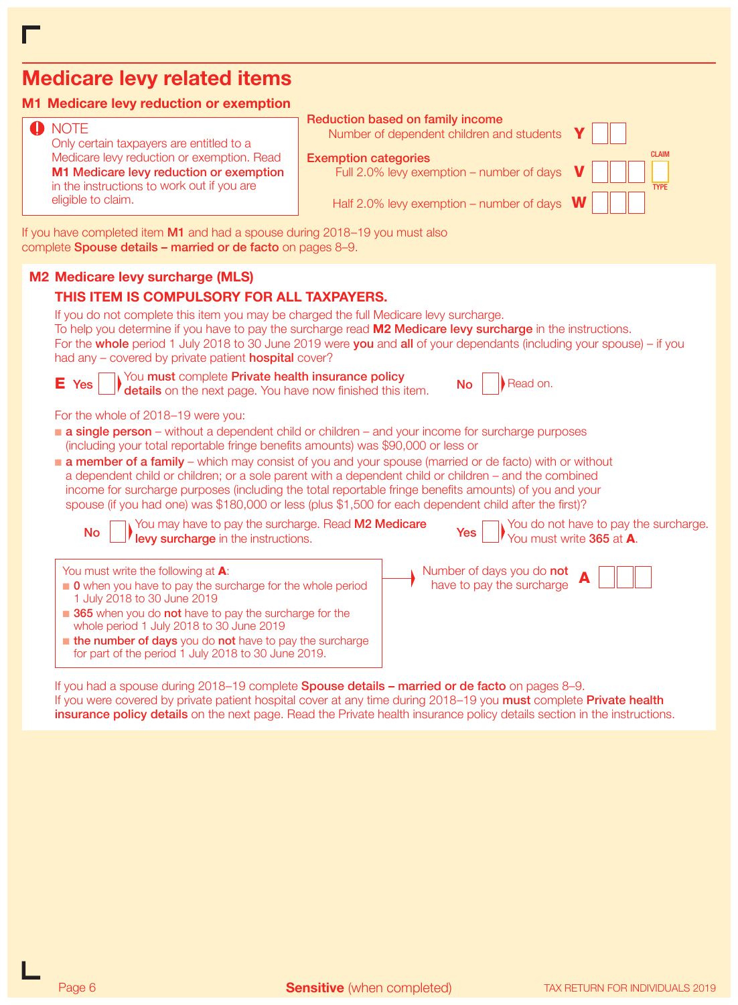# Medicare levy related items

## M1 Medicare levy reduction or exemption

## **O** NOTE

Only certain taxpayers are entitled to a Medicare levy reduction or exemption. Read M1 Medicare levy reduction or exemption in the instructions to work out if you are eligible to claim.

### Reduction based on family income

Number of dependent children and students Y

#### Exemption categories

Full 2.0% levy exemption – number of days



Half 2.0% levy exemption – number of days  $W$ 

If you have completed item M1 and had a spouse during 2018–19 you must also complete Spouse details – married or de facto on pages 8–9.

## M2 Medicare levy surcharge (MLS)

## THIS ITEM IS COMPULSORY FOR ALL TAXPAYERS.

for part of the period 1 July 2018 to 30 June 2019.

| If you do not complete this item you may be charged the full Medicare levy surcharge.<br>To help you determine if you have to pay the surcharge read <b>M2 Medicare levy surcharge</b> in the instructions.<br>For the whole period 1 July 2018 to 30 June 2019 were you and all of your dependants (including your spouse) – if you<br>had any – covered by private patient <b>hospital</b> cover? |                                                                                                                                                                                                                                                                                                                                                                                                                                           |  |  |  |  |  |
|-----------------------------------------------------------------------------------------------------------------------------------------------------------------------------------------------------------------------------------------------------------------------------------------------------------------------------------------------------------------------------------------------------|-------------------------------------------------------------------------------------------------------------------------------------------------------------------------------------------------------------------------------------------------------------------------------------------------------------------------------------------------------------------------------------------------------------------------------------------|--|--|--|--|--|
| $E$ Yes $\Box$ You must complete Private health insurance policy details on the next page. You have now finished this item.                                                                                                                                                                                                                                                                         | Read on.<br><b>No</b>                                                                                                                                                                                                                                                                                                                                                                                                                     |  |  |  |  |  |
| For the whole of 2018–19 were you:                                                                                                                                                                                                                                                                                                                                                                  |                                                                                                                                                                                                                                                                                                                                                                                                                                           |  |  |  |  |  |
| <b>a single person</b> – without a dependent child or children – and your income for surcharge purposes<br>(including your total reportable fringe benefits amounts) was \$90,000 or less or                                                                                                                                                                                                        |                                                                                                                                                                                                                                                                                                                                                                                                                                           |  |  |  |  |  |
|                                                                                                                                                                                                                                                                                                                                                                                                     | <b>a member of a family</b> – which may consist of you and your spouse (married or de facto) with or without<br>a dependent child or children; or a sole parent with a dependent child or children – and the combined<br>income for surcharge purposes (including the total reportable fringe benefits amounts) of you and your<br>spouse (if you had one) was \$180,000 or less (plus \$1,500 for each dependent child after the first)? |  |  |  |  |  |
| No surcharge in the surcharge. Read M2 Medicare<br>No surcharge in the instructions.                                                                                                                                                                                                                                                                                                                | <b>Yes</b> $\Box$ You do not have to pay the surcharge.<br>You must write <b>365</b> at <b>A</b> .                                                                                                                                                                                                                                                                                                                                        |  |  |  |  |  |
| You must write the following at A:<br>• 0 when you have to pay the surcharge for the whole period<br>1 July 2018 to 30 June 2019<br>365 when you do not have to pay the surcharge for the<br>whole period 1 July 2018 to 30 June 2019<br>the number of days you do not have to pay the surcharge                                                                                                    | Number of days you do <b>not</b><br>have to pay the surcharge $\bigcap$                                                                                                                                                                                                                                                                                                                                                                   |  |  |  |  |  |

If you had a spouse during 2018–19 complete **Spouse details – married or de facto** on pages 8–9. If you were covered by private patient hospital cover at any time during 2018–19 you must complete Private health insurance policy details on the next page. Read the Private health insurance policy details section in the instructions.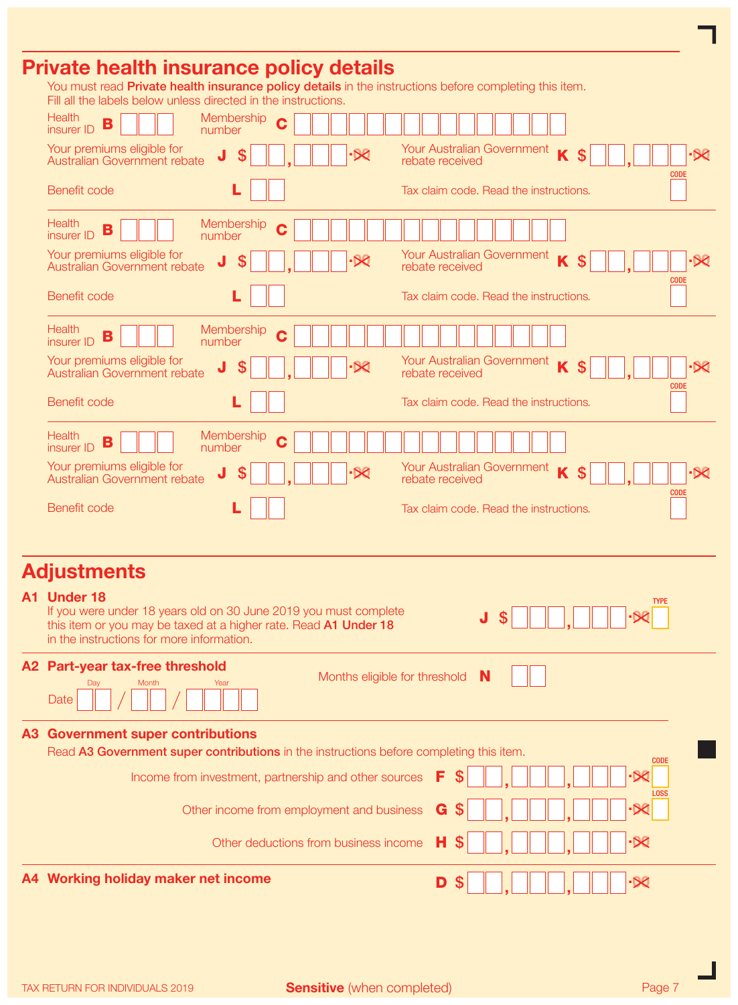## Private health insurance policy details

You must read Private health insurance policy details in the instructions before completing this item.

| Fill all the labels below unless directed in the instructions.                                                                                                                                   |                                                        |
|--------------------------------------------------------------------------------------------------------------------------------------------------------------------------------------------------|--------------------------------------------------------|
| <b>Health</b><br>Membership<br>C<br>B<br>insurer ID<br>number                                                                                                                                    |                                                        |
| Your premiums eligible for<br>J<br>۰Œ<br>Australian Government rebate<br>rebate received                                                                                                         | Your Australian Government<br>$\mathbf{\hat{S}}$<br>۰X |
| Benefit code                                                                                                                                                                                     | <b>CODE</b><br>Tax claim code. Read the instructions.  |
| <b>Health</b><br>Membership<br>C<br>B<br>insurer ID<br>number                                                                                                                                    |                                                        |
| Your premiums eligible for<br>Your Australian Government<br>\$<br>J<br>∙×<br>Australian Government rebate<br>rebate received                                                                     | K<br>\$<br>$-80$                                       |
| Benefit code                                                                                                                                                                                     | <b>CODE</b><br>Tax claim code. Read the instructions.  |
| <b>Health</b><br>Membership<br>Ć<br>B<br>insurer ID<br>number                                                                                                                                    |                                                        |
| Your premiums eligible for<br>J<br>\$<br>Australian Government rebate<br>rebate received                                                                                                         | Your Australian Government<br>\$<br>$-50$              |
| Benefit code                                                                                                                                                                                     | <b>CODE</b><br>Tax claim code. Read the instructions.  |
| <b>Health</b><br>Membership<br>C<br>B<br>insurer ID<br>number                                                                                                                                    |                                                        |
| Your premiums eligible for<br>Your Australian Government<br>\$<br><b>X</b><br>Australian Government rebate<br>rebate received                                                                    | K<br>$\mathbf{\hat{S}}$<br>-50                         |
| Benefit code                                                                                                                                                                                     | <b>CODE</b><br>Tax claim code. Read the instructions.  |
|                                                                                                                                                                                                  |                                                        |
| <b>Adjustments</b>                                                                                                                                                                               |                                                        |
| A1 Under 18<br>If you were under 18 years old on 30 June 2019 you must complete<br>this item or you may be taxed at a higher rate. Read A1 Under 18<br>in the instructions for more information. | TYPE<br>J<br>S                                         |
| A2 Part-year tax-free threshold<br>Months eligible for threshold $\mathbf N$                                                                                                                     |                                                        |
| Day<br>Month<br>Year<br>Date                                                                                                                                                                     |                                                        |
| <b>A3 Government super contributions</b><br>Read A3 Government super contributions in the instructions before completing this item.                                                              |                                                        |
| \$<br>F<br>Income from investment, partnership and other sources                                                                                                                                 | <b>CODE</b>                                            |
| S<br>G<br>Other income from employment and business                                                                                                                                              |                                                        |
| н<br>Other deductions from business income                                                                                                                                                       | ·Ж                                                     |
| A4 Working holiday maker net income<br>D<br>S                                                                                                                                                    | $-80$                                                  |

 $A<sup>2</sup>$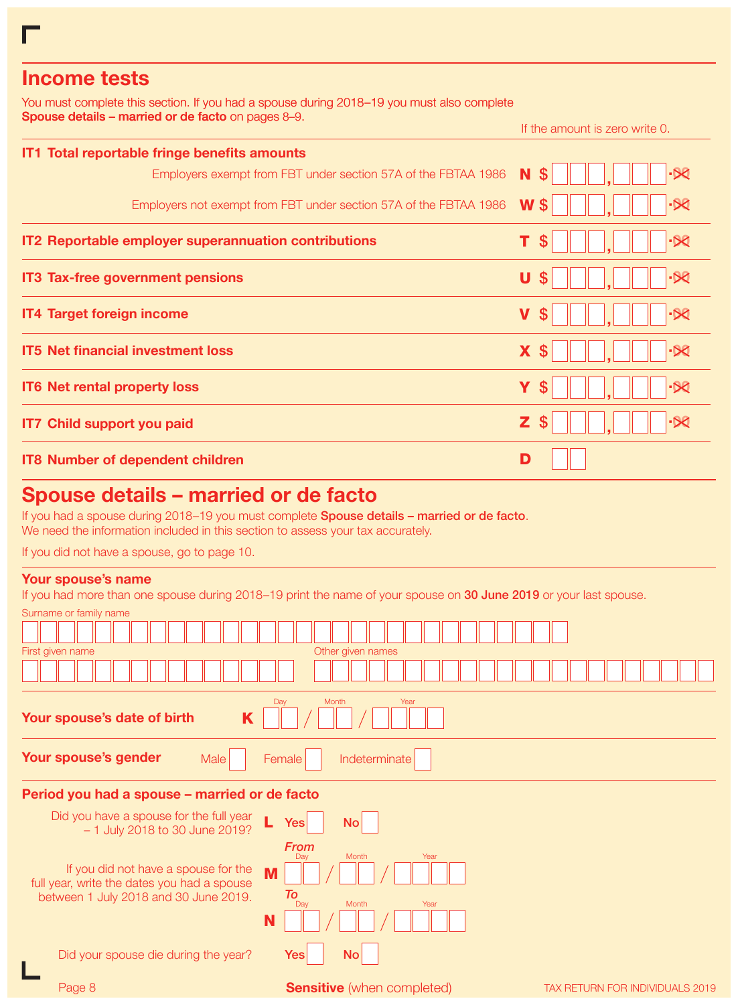## Income tests

You must complete this section. If you had a spouse during 2018–19 you must also complete Spouse details – married or de facto on pages 8–9.

If the amount is zero write 0.

| IT1 Total reportable fringe benefits amounts                      |                |
|-------------------------------------------------------------------|----------------|
| Employers exempt from FBT under section 57A of the FBTAA 1986     | N<br><b>S</b>  |
| Employers not exempt from FBT under section 57A of the FBTAA 1986 | $W$ \$         |
| IT2 Reportable employer superannuation contributions              | <b>S</b>       |
| <b>IT3 Tax-free government pensions</b>                           | U              |
| <b>IT4 Target foreign income</b>                                  | $\mathbf V$    |
| <b>IT5 Net financial investment loss</b>                          | X.<br><b>S</b> |
| IT6 Net rental property loss                                      | Υ<br>S         |
| <b>IT7 Child support you paid</b>                                 | Z.<br>S        |
| <b>IT8 Number of dependent children</b>                           | D              |

## Spouse details – married or de facto

If you had a spouse during 2018-19 you must complete Spouse details - married or de facto. We need the information included in this section to assess your tax accurately.

If you did not have a spouse, go to page 10.

## Your spouse's name

If you had more than one spouse during 2018–19 print the name of your spouse on 30 June 2019 or your last spouse.

Surname or family name

| $\sim$ an nan no on nan my man no                                                                                                      |                                                                   |                                        |
|----------------------------------------------------------------------------------------------------------------------------------------|-------------------------------------------------------------------|----------------------------------------|
|                                                                                                                                        |                                                                   |                                        |
| First given name                                                                                                                       | Other given names                                                 |                                        |
|                                                                                                                                        |                                                                   |                                        |
|                                                                                                                                        |                                                                   |                                        |
|                                                                                                                                        |                                                                   |                                        |
| Your spouse's date of birth<br>K                                                                                                       | Month<br>Year<br>Day                                              |                                        |
| Your spouse's gender<br>Male                                                                                                           | Indeterminate<br>Female                                           |                                        |
| Period you had a spouse - married or de facto                                                                                          |                                                                   |                                        |
| Did you have a spouse for the full year<br>L<br>- 1 July 2018 to 30 June 2019?                                                         | No <sub>1</sub><br>Yesl                                           |                                        |
| If you did not have a spouse for the<br>M<br>full year, write the dates you had a spouse<br>between 1 July 2018 and 30 June 2019.<br>N | <b>From</b><br>Month<br>Year<br>Dav<br>To<br>Day<br>Year<br>Month |                                        |
| Did your spouse die during the year?                                                                                                   | No<br>Yes∣                                                        |                                        |
| Page 8                                                                                                                                 | <b>Sensitive</b> (when completed)                                 | <b>TAX RETURN FOR INDIVIDUALS 2019</b> |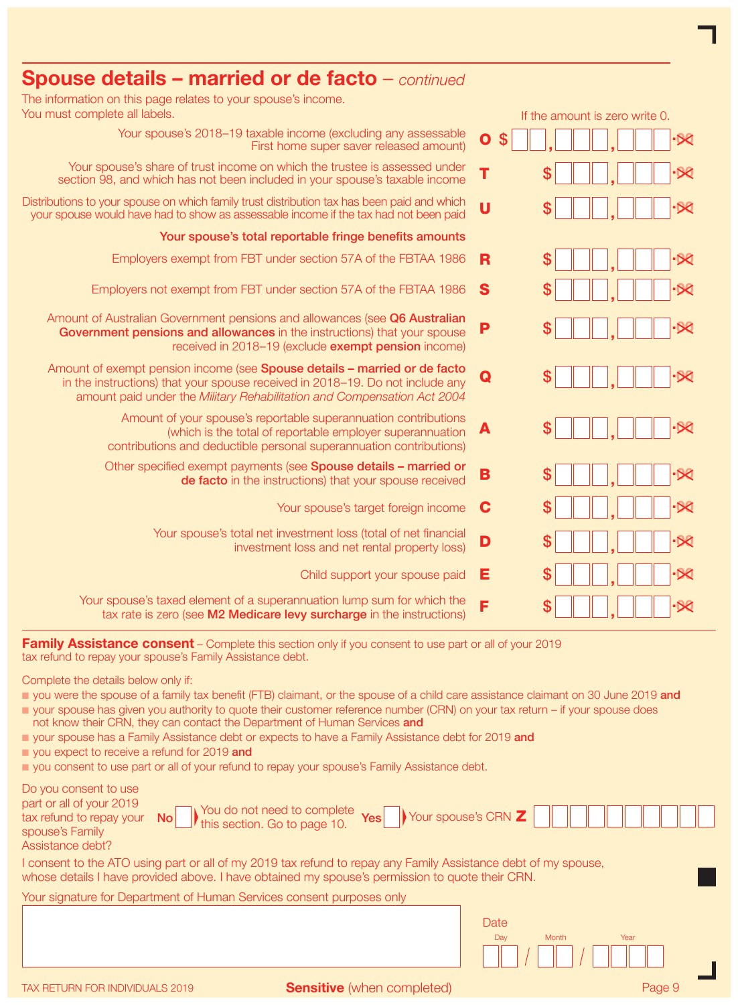| $\frac{1}{2}$ opouse details – married or de racto – <i>continued</i>                                                                                                                                                                 |                                                   |
|---------------------------------------------------------------------------------------------------------------------------------------------------------------------------------------------------------------------------------------|---------------------------------------------------|
| The information on this page relates to your spouse's income.<br>You must complete all labels.                                                                                                                                        | If the amount is zero write 0.                    |
| Your spouse's 2018-19 taxable income (excluding any assessable<br>First home super saver released amount)                                                                                                                             | $\overline{\mathbf{o}}$<br>$\mathbf{\$}$<br>$-50$ |
| Your spouse's share of trust income on which the trustee is assessed under<br>section 98, and which has not been included in your spouse's taxable income                                                                             | T                                                 |
| Distributions to your spouse on which family trust distribution tax has been paid and which<br>your spouse would have had to show as assessable income if the tax had not been paid                                                   | $\overline{U}$<br>S                               |
| Your spouse's total reportable fringe benefits amounts                                                                                                                                                                                |                                                   |
| Employers exempt from FBT under section 57A of the FBTAA 1986                                                                                                                                                                         | \$<br>R                                           |
| Employers not exempt from FBT under section 57A of the FBTAA 1986                                                                                                                                                                     | S<br>S                                            |
| Amount of Australian Government pensions and allowances (see Q6 Australian<br>Government pensions and allowances in the instructions) that your spouse<br>received in 2018-19 (exclude exempt pension income)                         | P<br>S                                            |
| Amount of exempt pension income (see Spouse details - married or de facto<br>in the instructions) that your spouse received in 2018-19. Do not include any<br>amount paid under the Military Rehabilitation and Compensation Act 2004 | -80<br>S<br>Q                                     |
| Amount of your spouse's reportable superannuation contributions<br>(which is the total of reportable employer superannuation<br>contributions and deductible personal superannuation contributions)                                   | -60<br>\$<br>A                                    |
| Other specified exempt payments (see Spouse details - married or<br>de facto in the instructions) that your spouse received                                                                                                           | B<br>S                                            |
| Your spouse's target foreign income                                                                                                                                                                                                   | C                                                 |
| Your spouse's total net investment loss (total of net financial<br>investment loss and net rental property loss)                                                                                                                      | D<br>-50<br>S                                     |
| Child support your spouse paid                                                                                                                                                                                                        | Е                                                 |
| Your spouse's taxed element of a superannuation lump sum for which the<br>tax rate is zero (see M2 Medicare levy surcharge in the instructions)                                                                                       | F<br>\$                                           |

Family Assistance consent – Complete this section only if you consent to use part or all of your 2019 tax refund to repay your spouse's Family Assistance debt.

Complete the details below only if:

- you were the spouse of a family tax benefit (FTB) claimant, or the spouse of a child care assistance claimant on 30 June 2019 and
- n your spouse has given you authority to quote their customer reference number (CRN) on your tax return if your spouse does not know their CRN, they can contact the Department of Human Services and
- **n** your spouse has a Family Assistance debt or expects to have a Family Assistance debt for 2019 and
- vou expect to receive a refund for 2019 and
- n you consent to use part or all of your refund to repay your spouse's Family Assistance debt.

Spouse details – married or de facto – *continued*

| Do you consent to use<br>part or all of your 2019<br>Vou do not need to complete<br>) this section. Go to page 10.<br>Yes<br>tax refund to repay your<br>N <sub>O</sub><br>spouse's Family<br>Assistance debt?    | Your spouse's CRN Z  |
|-------------------------------------------------------------------------------------------------------------------------------------------------------------------------------------------------------------------|----------------------|
| I consent to the ATO using part or all of my 2019 tax refund to repay any Family Assistance debt of my spouse,<br>whose details I have provided above. I have obtained my spouse's permission to quote their CRN. |                      |
| Your signature for Department of Human Services consent purposes only                                                                                                                                             |                      |
|                                                                                                                                                                                                                   | Date                 |
|                                                                                                                                                                                                                   | Dav<br>Month<br>Year |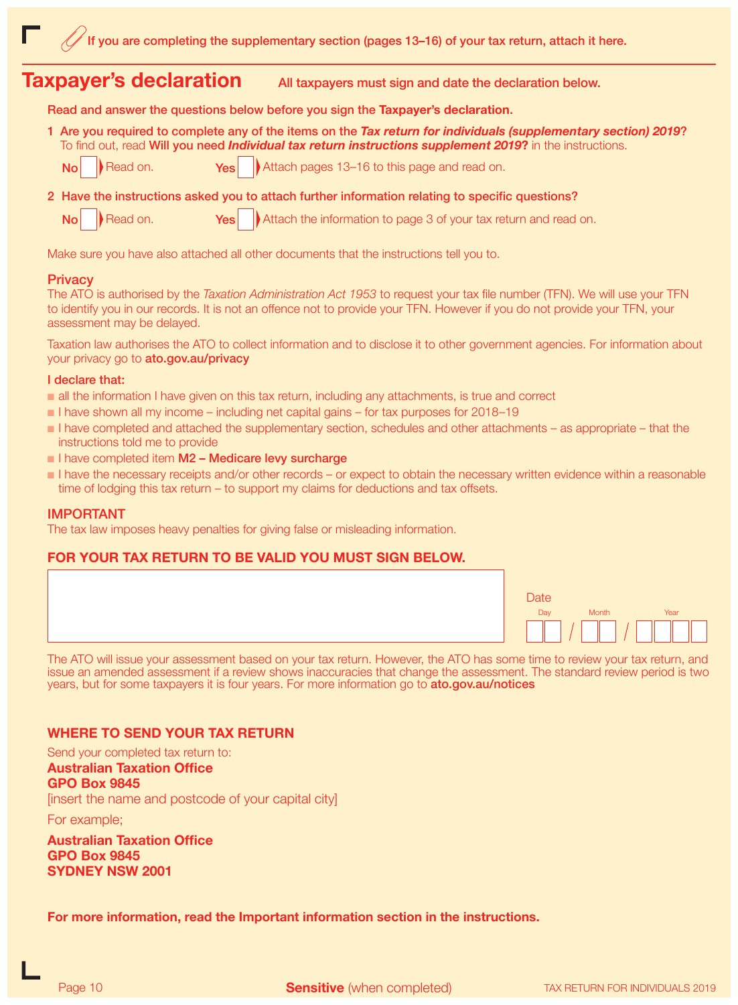## **Taxpayer's declaration** All taxpayers must sign and date the declaration below.

Read and answer the questions below before you sign the Taxpayer's declaration.

1 Are you required to complete any of the items on the *Tax return for individuals (supplementary section) 2019*? To find out, read Will you need *Individual tax return instructions supplement 2019*? in the instructions.

- No Read on. Yes Attach pages 13–16 to this page and read on.
- 2 Have the instructions asked you to attach further information relating to specific questions?

No Read on. Yes Attach the information to page 3 of your tax return and read on.

Make sure you have also attached all other documents that the instructions tell you to.

## **Privacy**

The ATO is authorised by the *Taxation Administration Act 1953* to request your tax file number (TFN). We will use your TFN to identify you in our records. It is not an offence not to provide your TFN. However if you do not provide your TFN, your assessment may be delayed.

Taxation law authorises the ATO to collect information and to disclose it to other government agencies. For information about your privacy go to ato.gov.au/privacy

#### I declare that:

- n all the information I have given on this tax return, including any attachments, is true and correct
- $\blacksquare$  I have shown all my income including net capital gains for tax purposes for 2018–19
- n I have completed and attached the supplementary section, schedules and other attachments as appropriate that the instructions told me to provide
- $\blacksquare$  I have completed item M2 Medicare levy surcharge
- $\blacksquare$  I have the necessary receipts and/or other records or expect to obtain the necessary written evidence within a reasonable time of lodging this tax return – to support my claims for deductions and tax offsets.

### IMPORTANT

The tax law imposes heavy penalties for giving false or misleading information.

## FOR YOUR TAX RETURN TO BE VALID YOU MUST SIGN BELOW.



The ATO will issue your assessment based on your tax return. However, the ATO has some time to review your tax return, and issue an amended assessment if a review shows inaccuracies that change the assessment. The standard review period is two years, but for some taxpayers it is four years. For more information go to ato.gov.au/notices

## WHERE TO SEND YOUR TAX RETURN

Send your completed tax return to: Australian Taxation Office GPO Box 9845 [insert the name and postcode of your capital city]

For example;

Australian Taxation Office GPO Box 9845 SYDNEY NSW 2001

For more information, read the Important information section in the instructions.